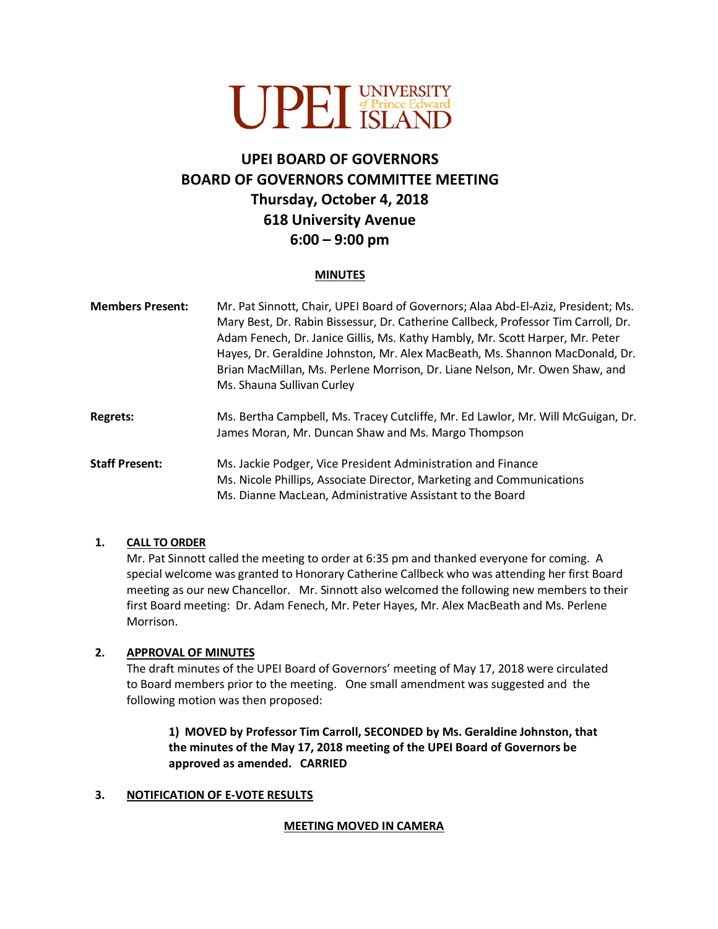

# **UPEI BOARD OF GOVERNORS BOARD OF GOVERNORS COMMITTEE MEETING Thursday, October 4, 2018 618 University Avenue 6:00 – 9:00 pm**

#### **MINUTES**

| <b>Members Present:</b> | Mr. Pat Sinnott, Chair, UPEI Board of Governors; Alaa Abd-El-Aziz, President; Ms.<br>Mary Best, Dr. Rabin Bissessur, Dr. Catherine Callbeck, Professor Tim Carroll, Dr.<br>Adam Fenech, Dr. Janice Gillis, Ms. Kathy Hambly, Mr. Scott Harper, Mr. Peter<br>Hayes, Dr. Geraldine Johnston, Mr. Alex MacBeath, Ms. Shannon MacDonald, Dr.<br>Brian MacMillan, Ms. Perlene Morrison, Dr. Liane Nelson, Mr. Owen Shaw, and<br>Ms. Shauna Sullivan Curley |
|-------------------------|-------------------------------------------------------------------------------------------------------------------------------------------------------------------------------------------------------------------------------------------------------------------------------------------------------------------------------------------------------------------------------------------------------------------------------------------------------|
| <b>Regrets:</b>         | Ms. Bertha Campbell, Ms. Tracey Cutcliffe, Mr. Ed Lawlor, Mr. Will McGuigan, Dr.<br>James Moran, Mr. Duncan Shaw and Ms. Margo Thompson                                                                                                                                                                                                                                                                                                               |
| <b>Staff Present:</b>   | Ms. Jackie Podger, Vice President Administration and Finance<br>Ms. Nicole Phillips, Associate Director, Marketing and Communications<br>Ms. Dianne MacLean, Administrative Assistant to the Board                                                                                                                                                                                                                                                    |

#### **1. CALL TO ORDER**

Mr. Pat Sinnott called the meeting to order at 6:35 pm and thanked everyone for coming. A special welcome was granted to Honorary Catherine Callbeck who was attending her first Board meeting as our new Chancellor. Mr. Sinnott also welcomed the following new members to their first Board meeting: Dr. Adam Fenech, Mr. Peter Hayes, Mr. Alex MacBeath and Ms. Perlene Morrison.

#### **2. APPROVAL OF MINUTES**

The draft minutes of the UPEI Board of Governors' meeting of May 17, 2018 were circulated to Board members prior to the meeting. One small amendment was suggested and the following motion was then proposed:

## **1) MOVED by Professor Tim Carroll, SECONDED by Ms. Geraldine Johnston, that the minutes of the May 17, 2018 meeting of the UPEI Board of Governors be approved as amended. CARRIED**

#### **3. NOTIFICATION OF E-VOTE RESULTS**

#### **MEETING MOVED IN CAMERA**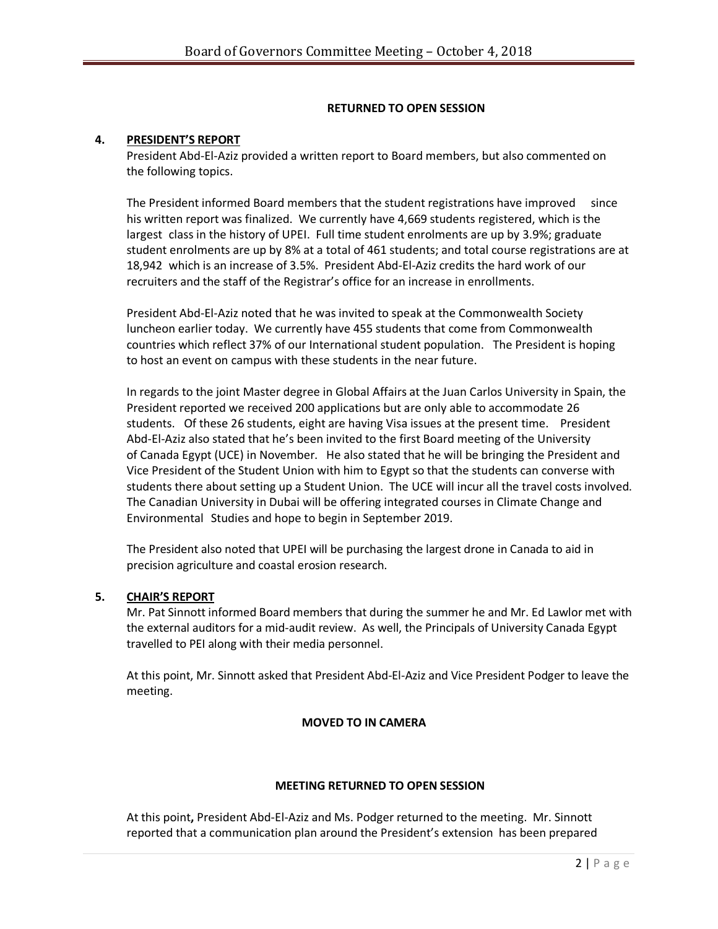## **RETURNED TO OPEN SESSION**

#### **4. PRESIDENT'S REPORT**

President Abd-El-Aziz provided a written report to Board members, but also commented on the following topics.

The President informed Board members that the student registrations have improved since his written report was finalized. We currently have 4,669 students registered, which is the largest class in the history of UPEI. Full time student enrolments are up by 3.9%; graduate student enrolments are up by 8% at a total of 461 students; and total course registrations are at 18,942 which is an increase of 3.5%. President Abd-El-Aziz credits the hard work of our recruiters and the staff of the Registrar's office for an increase in enrollments.

President Abd-El-Aziz noted that he was invited to speak at the Commonwealth Society luncheon earlier today. We currently have 455 students that come from Commonwealth countries which reflect 37% of our International student population. The President is hoping to host an event on campus with these students in the near future.

In regards to the joint Master degree in Global Affairs at the Juan Carlos University in Spain, the President reported we received 200 applications but are only able to accommodate 26 students. Of these 26 students, eight are having Visa issues at the present time. President Abd-El-Aziz also stated that he's been invited to the first Board meeting of the University of Canada Egypt (UCE) in November. He also stated that he will be bringing the President and Vice President of the Student Union with him to Egypt so that the students can converse with students there about setting up a Student Union. The UCE will incur all the travel costs involved. The Canadian University in Dubai will be offering integrated courses in Climate Change and Environmental Studies and hope to begin in September 2019.

The President also noted that UPEI will be purchasing the largest drone in Canada to aid in precision agriculture and coastal erosion research.

#### **5. CHAIR'S REPORT**

Mr. Pat Sinnott informed Board members that during the summer he and Mr. Ed Lawlor met with the external auditors for a mid-audit review. As well, the Principals of University Canada Egypt travelled to PEI along with their media personnel.

At this point, Mr. Sinnott asked that President Abd-El-Aziz and Vice President Podger to leave the meeting.

#### **MOVED TO IN CAMERA**

#### **MEETING RETURNED TO OPEN SESSION**

At this point**,** President Abd-El-Aziz and Ms. Podger returned to the meeting. Mr. Sinnott reported that a communication plan around the President's extension has been prepared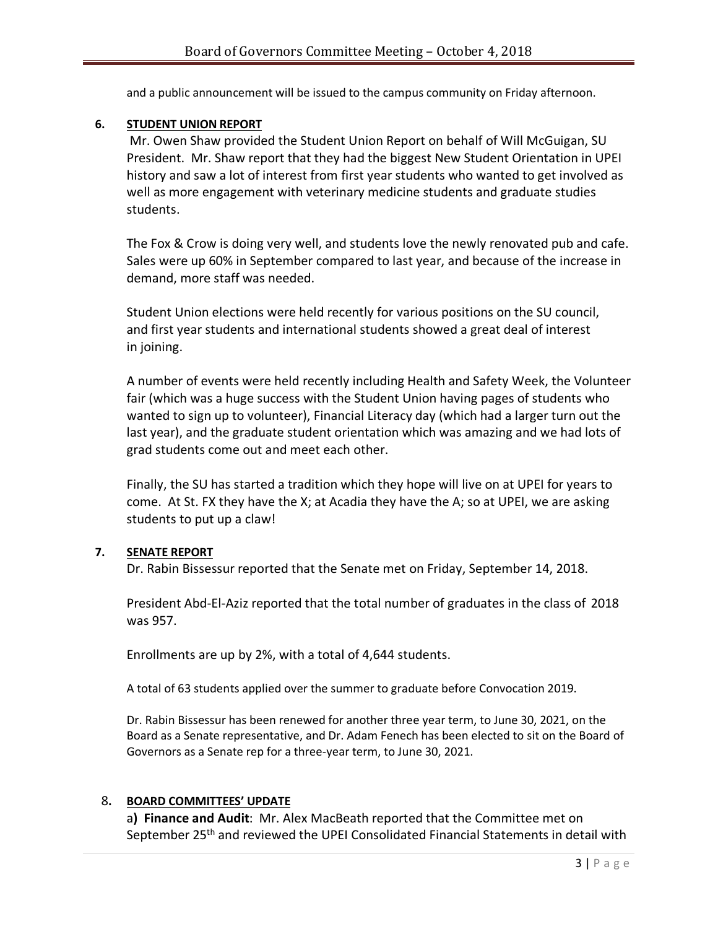and a public announcement will be issued to the campus community on Friday afternoon.

## **6. STUDENT UNION REPORT**

Mr. Owen Shaw provided the Student Union Report on behalf of Will McGuigan, SU President. Mr. Shaw report that they had the biggest New Student Orientation in UPEI history and saw a lot of interest from first year students who wanted to get involved as well as more engagement with veterinary medicine students and graduate studies students.

The Fox & Crow is doing very well, and students love the newly renovated pub and cafe. Sales were up 60% in September compared to last year, and because of the increase in demand, more staff was needed.

Student Union elections were held recently for various positions on the SU council, and first year students and international students showed a great deal of interest in joining.

A number of events were held recently including Health and Safety Week, the Volunteer fair (which was a huge success with the Student Union having pages of students who wanted to sign up to volunteer), Financial Literacy day (which had a larger turn out the last year), and the graduate student orientation which was amazing and we had lots of grad students come out and meet each other.

Finally, the SU has started a tradition which they hope will live on at UPEI for years to come. At St. FX they have the X; at Acadia they have the A; so at UPEI, we are asking students to put up a claw!

## **7. SENATE REPORT**

Dr. Rabin Bissessur reported that the Senate met on Friday, September 14, 2018.

President Abd-El-Aziz reported that the total number of graduates in the class of 2018 was 957.

Enrollments are up by 2%, with a total of 4,644 students.

A total of 63 students applied over the summer to graduate before Convocation 2019.

Dr. Rabin Bissessur has been renewed for another three year term, to June 30, 2021, on the Board as a Senate representative, and Dr. Adam Fenech has been elected to sit on the Board of Governors as a Senate rep for a three-year term, to June 30, 2021.

## 8**. BOARD COMMITTEES' UPDATE**

a**) Finance and Audit**: Mr. Alex MacBeath reported that the Committee met on September 25<sup>th</sup> and reviewed the UPEI Consolidated Financial Statements in detail with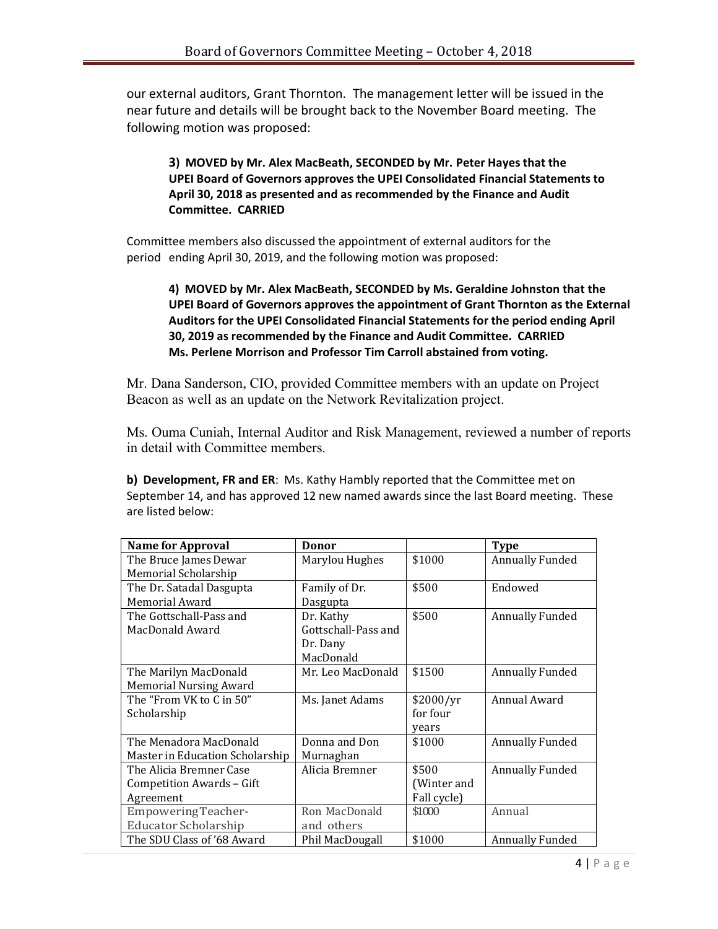our external auditors, Grant Thornton. The management letter will be issued in the near future and details will be brought back to the November Board meeting. The following motion was proposed:

# **3) MOVED by Mr. Alex MacBeath, SECONDED by Mr. Peter Hayes that the UPEI Board of Governors approves the UPEI Consolidated Financial Statements to April 30, 2018 as presented and as recommended by the Finance and Audit Committee. CARRIED**

Committee members also discussed the appointment of external auditors for the period ending April 30, 2019, and the following motion was proposed:

# **4) MOVED by Mr. Alex MacBeath, SECONDED by Ms. Geraldine Johnston that the UPEI Board of Governors approves the appointment of Grant Thornton as the External Auditors for the UPEI Consolidated Financial Statements for the period ending April 30, 2019 as recommended by the Finance and Audit Committee. CARRIED Ms. Perlene Morrison and Professor Tim Carroll abstained from voting.**

Mr. Dana Sanderson, CIO, provided Committee members with an update on Project Beacon as well as an update on the Network Revitalization project.

Ms. Ouma Cuniah, Internal Auditor and Risk Management, reviewed a number of reports in detail with Committee members.

**b) Development, FR and ER**: Ms. Kathy Hambly reported that the Committee met on September 14, and has approved 12 new named awards since the last Board meeting. These are listed below:

| <b>Name for Approval</b>        | <b>Donor</b>        |             | <b>Type</b>            |
|---------------------------------|---------------------|-------------|------------------------|
| The Bruce James Dewar           | Marylou Hughes      | \$1000      | <b>Annually Funded</b> |
| Memorial Scholarship            |                     |             |                        |
| The Dr. Satadal Dasgupta        | Family of Dr.       | \$500       | Endowed                |
| Memorial Award                  | Dasgupta            |             |                        |
| The Gottschall-Pass and         | Dr. Kathy           | \$500       | <b>Annually Funded</b> |
| MacDonald Award                 | Gottschall-Pass and |             |                        |
|                                 | Dr. Dany            |             |                        |
|                                 | MacDonald           |             |                        |
| The Marilyn MacDonald           | Mr. Leo MacDonald   | \$1500      | <b>Annually Funded</b> |
| <b>Memorial Nursing Award</b>   |                     |             |                        |
| The "From VK to C in 50"        | Ms. Janet Adams     | \$2000/yr   | Annual Award           |
| Scholarship                     |                     | for four    |                        |
|                                 |                     | years       |                        |
| The Menadora MacDonald          | Donna and Don       | \$1000      | <b>Annually Funded</b> |
| Master in Education Scholarship | Murnaghan           |             |                        |
| The Alicia Bremner Case         | Alicia Bremner      | \$500       | <b>Annually Funded</b> |
| Competition Awards - Gift       |                     | (Winter and |                        |
| Agreement                       |                     | Fall cycle) |                        |
| Empowering Teacher-             | Ron MacDonald       | \$1000      | Annual                 |
| <b>Educator Scholarship</b>     | and others          |             |                        |
| The SDU Class of '68 Award      | Phil MacDougall     | \$1000      | <b>Annually Funded</b> |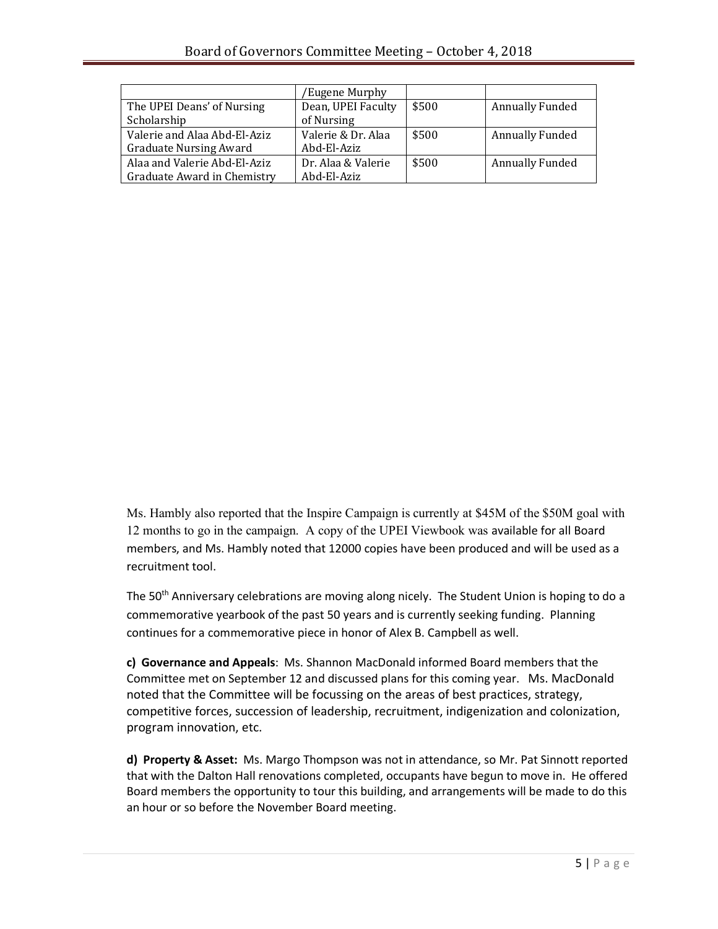|                               | 'Eugene Murphy     |       |                        |
|-------------------------------|--------------------|-------|------------------------|
| The UPEI Deans' of Nursing    | Dean, UPEI Faculty | \$500 | <b>Annually Funded</b> |
| Scholarship                   | of Nursing         |       |                        |
| Valerie and Alaa Abd-El-Aziz  | Valerie & Dr. Alaa | \$500 | <b>Annually Funded</b> |
| <b>Graduate Nursing Award</b> | Abd-El-Aziz        |       |                        |
| Alaa and Valerie Abd-El-Aziz  | Dr. Alaa & Valerie | \$500 | <b>Annually Funded</b> |
| Graduate Award in Chemistry   | Abd-El-Aziz        |       |                        |

Ms. Hambly also reported that the Inspire Campaign is currently at \$45M of the \$50M goal with 12 months to go in the campaign. A copy of the UPEI Viewbook was available for all Board members, and Ms. Hambly noted that 12000 copies have been produced and will be used as a recruitment tool.

The 50<sup>th</sup> Anniversary celebrations are moving along nicely. The Student Union is hoping to do a commemorative yearbook of the past 50 years and is currently seeking funding. Planning continues for a commemorative piece in honor of Alex B. Campbell as well.

**c) Governance and Appeals**: Ms. Shannon MacDonald informed Board members that the Committee met on September 12 and discussed plans for this coming year. Ms. MacDonald noted that the Committee will be focussing on the areas of best practices, strategy, competitive forces, succession of leadership, recruitment, indigenization and colonization, program innovation, etc.

**d) Property & Asset:** Ms. Margo Thompson was not in attendance, so Mr. Pat Sinnott reported that with the Dalton Hall renovations completed, occupants have begun to move in. He offered Board members the opportunity to tour this building, and arrangements will be made to do this an hour or so before the November Board meeting.